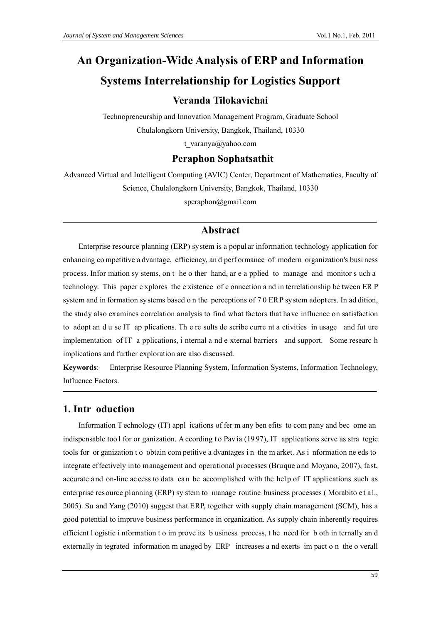# An Organization-Wide Analysis of ERP and Information **Systems Interrelationship for Logistics Support** Veranda Tilokavichai

Technopreneurship and Innovation Management Program, Graduate School Chulalongkorn University, Bangkok, Thailand, 10330

t varanya@yahoo.com

# **Peraphon Sophatsathit**

Advanced Virtual and Intelligent Computing (AVIC) Center, Department of Mathematics, Faculty of Science, Chulalongkorn University, Bangkok, Thailand, 10330 speraphon@gmail.com

## **Abstract**

Enterprise resource planning (ERP) system is a popular information technology application for enhancing competitive a dvantage, efficiency, and performance of modern organization's business process. Information sy stems, on the other hand, are a pplied to manage and monitor such a technology. This paper e xplores the e xistence of c onnection a nd in terrelationship be tween ER P system and in formation systems based on the perceptions of 70 ERP system adopters. In ad dition, the study also examines correlation analysis to find what factors that have influence on satisfaction to adopt an d u se IT ap plications. The results de scribe curre nt a ctivities in usage and fut ure implementation of IT a pplications, i nternal a nd e xternal barriers and support. Some research implications and further exploration are also discussed.

Keywords: Enterprise Resource Planning System, Information Systems, Information Technology, Influence Factors.

## 1. Intr oduction

Information T echnology (IT) appl ications of fer m any ben efits to company and become an indispensable too l for or ganization. A ccording to Pavia (1997), IT applications serve as stra tegic tools for or ganization to obtain competitive a dvantages in the m arket. As information ne eds to integrate effectively into management and operational processes (Bruque and Moyano, 2007), fast, accurate and on-line access to data can be accomplished with the help of IT applications such as enterprise resource planning (ERP) sy stem to manage routine business processes (Morabito et al., 2005). Su and Yang (2010) suggest that ERP, together with supply chain management (SCM), has a good potential to improve business performance in organization. As supply chain inherently requires efficient l ogistic i nformation t o im prove its b usiness process, t he need for b oth in ternally and externally in tegrated information m anaged by ERP increases a nd exerts impact on the overall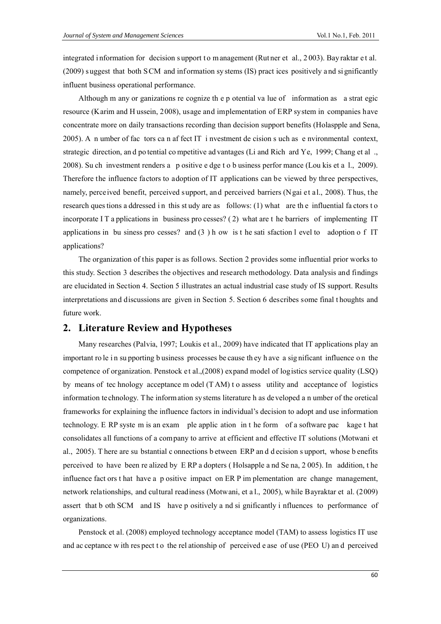integrated i nformation for decision support to m anagement (Rut ner et al., 2003). Bay raktar et al. (2009) s uggest that both S CM and inf ormation sy stems (IS) pract ices positively a nd si gnificantly influent business operational performance.

Although m any or ganizations re cognize th e p otential va lue of information as a strat egic resource (Karim and H ussein, 2008), usage and implementation of ERP system in companies have concentrate more on daily transactions recording than decision support benefits (Holaspple and Sena, 2005). A n umber of fac tors ca n af fect IT i nvestment de cision s uch as e nvironmental context, strategic direction, an d po tential co mpetitive ad vantages (Li and Rich ard Ye, 1999; Chang et al ., 2008). Su ch investment renders a p ositive e dge t o b usiness perfor mance (Lou kis et a l., 2009). Therefore the influence factors to adoption of IT applications can be viewed by three perspectives, namely, perceived benefit, perceived support, and perceived barriers (Ngai et al., 2008). Thus, the research ques tions a ddressed in this study are as follows: (1) what are the influential fa ctors to incorporate I T a pplications in business pro cesses?  $(2)$  what are t he barriers of implementing IT applications in bu siness pro cesses? and (3 ) h ow is t he sati sfaction l evel to adoption o f IT applications?

The organization of this paper is as follows. Section 2 provides some influential prior works to this study. Section 3 describes the objectives and research methodology. Data analysis and findings are elucidated in Section 4. Section 5 illustrates an actual industrial case study of IS support. Results interpretations and discussions are given in Section 5. Section 6 describes some final t houghts and future work.

## **2. Literature Review and Hypotheses**

Many researches (Palvia, 1997; Loukis et al., 2009) have indicated that IT applications play an important ro le i n su pporting b usiness processes be cause th ey h ave a sig nificant influence o n the competence of organization. Penstock et al.,(2008) expand model of logistics service quality (LSQ) by means of tec hnology acceptance m odel (T AM) t o assess utility and acceptance of logistics information technology. The information systems literature h as developed a n umber of the oretical frameworks for explaining the influence factors in individual's decision to adopt and use information technology. E RP syste m is an exam ple applic ation in t he form of a software pac kage t hat consolidates all functions of a company to arrive at efficient and effective IT solutions (Motwani et al., 2005). T here are su bstantial c onnections b etween ERP an d d ecision s upport, whose b enefits perceived to have been re alized by E RP a dopters ( Holsapple a nd Se na, 2 005). In addition, t he influence fact ors t hat have a p ositive impact on ER P im plementation are change management, network relationships, and cultural readiness (Motwani, et a l., 2005), while Bayraktar et al. (2009) assert that b oth SCM and IS have p ositively a nd si gnificantly i nfluences to performance of organizations.

Penstock et al. (2008) employed technology acceptance model (TAM) to assess logistics IT use and ac ceptance w ith res pect t o the rel ationship of perceived e ase of use (PEO U) an d perceived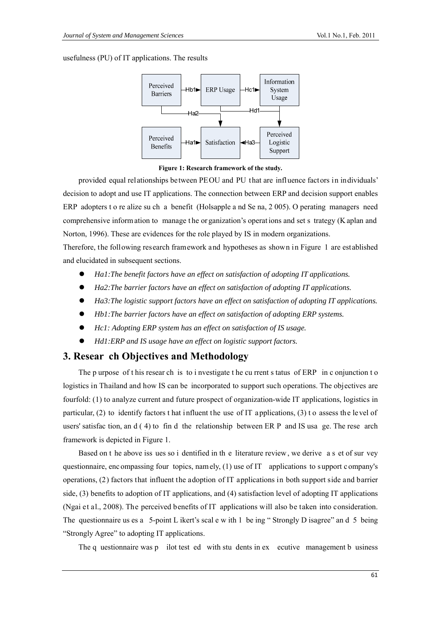usefulness (PU) of IT applications. The results



**Figure 1: Research framework of the study.** 

provided equal relationships between PEOU and PU that are influence factors in individuals' decision to adopt and use IT applications. The connection between ERP and decision support enables ERP adopters t o re alize su ch a benefit (Holsapple a nd Se na, 2 005). O perating managers need comprehensive inform ation to manage t he or ganization's operat ions and set s trategy (K aplan and Norton, 1996). These are evidences for the role played by IS in modern organizations.

Therefore, the following research framework and hypotheses as shown in Figure 1 are established and elucidated in subsequent sections.

- *Ha1:The benefit factors have an effect on satisfaction of adopting IT applications.*
- *Ha2:The barrier factors have an effect on satisfaction of adopting IT applications.*
- *Ha3:The logistic support factors have an effect on satisfaction of adopting IT applications.*
- *Hb1:The barrier factors have an effect on satisfaction of adopting ERP systems.*
- *Hc1: Adopting ERP system has an effect on satisfaction of IS usage.*
- *Hd1:ERP and IS usage have an effect on logistic support factors.*

## **3. Resear ch Objectives and Methodology**

The p urpose of t his resear ch is to i nvestigate t he cu rrent s tatus of ERP in c onjunction t o logistics in Thailand and how IS can be incorporated to support such operations. The objectives are fourfold: (1) to analyze current and future prospect of organization-wide IT applications, logistics in particular, (2) to identify factors t hat influent the use of IT applications, (3) t o assess the level of users' satisfac tion, an d ( 4) to fin d the relationship between ER P and IS usa ge. The rese arch framework is depicted in Figure 1.

Based on t he above iss ues so i dentified in th e literature review , we derive a s et of sur vey questionnaire, enc ompassing four topics, namely, (1) use of IT applications to s upport c ompany's operations, (2) factors that influent the adoption of IT applications in both support side and barrier side, (3) benefits to adoption of IT applications, and (4) satisfaction level of adopting IT applications (Ngai et al., 2008). The perceived benefits of IT applications will also be taken into consideration. The questionnaire us es a 5-point L ikert's scal e w ith 1 be ing "Strongly D isagree" and 5 being "Strongly Agree" to adopting IT applications.

The q uestionnaire was p ilot test ed with stu dents in ex ecutive management b usiness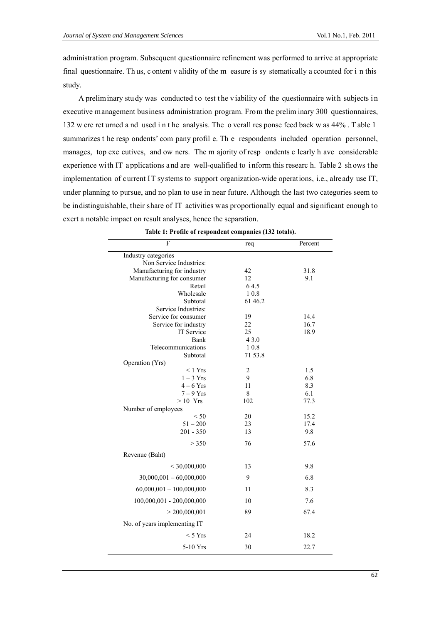$\mathbf{r}$ 

administration program. Subsequent questionnaire refinement was performed to arrive at appropriate final questionnaire. Thus, c ontent v alidity of the m easure is sy stematically a ccounted for i n this study.

A preliminary study was conducted to test the viability of the questionnaire with subjects in executive management business administration program. From the prelim inary 300 questionnaires, 132 w ere ret urned a nd used in the analysis. The o verall res ponse feed back w as 44%. Table 1 summarizes t he resp ondents' com pany profil e. Th e respondents included operation personnel, manages, top exe cutives, and ow ners. The m ajority of resp ondents c learly h ave considerable experience with IT applications and are well-qualified to inform this researc h. Table 2 shows the implementation of current IT systems to support organization-wide operations, i.e., already use IT, under planning to pursue, and no plan to use in near future. Although the last two categories seem to be indistinguishable, their share of IT activities was proportionally equal and significant enough to exert a notable impact on result analyses, hence the separation.

| таріс 1. 1 гоніс от гезронисті сотіраніся (192 годав <i>)</i> . |                         |         |  |  |  |  |
|-----------------------------------------------------------------|-------------------------|---------|--|--|--|--|
| F                                                               | req                     | Percent |  |  |  |  |
| Industry categories                                             |                         |         |  |  |  |  |
| Non Service Industries:                                         |                         |         |  |  |  |  |
| Manufacturing for industry                                      | 42                      | 31.8    |  |  |  |  |
| Manufacturing for consumer                                      | 12                      | 9.1     |  |  |  |  |
| Retail<br>Wholesale                                             | 64.5<br>10.8            |         |  |  |  |  |
| Subtotal                                                        | 61 46.2                 |         |  |  |  |  |
| Service Industries:                                             |                         |         |  |  |  |  |
| Service for consumer                                            | 19                      | 14.4    |  |  |  |  |
| Service for industry                                            | 22                      | 16.7    |  |  |  |  |
| IT Service                                                      | 25                      | 18.9    |  |  |  |  |
| Bank                                                            | 4 3.0                   |         |  |  |  |  |
| Telecommunications                                              | 10.8                    |         |  |  |  |  |
| Subtotal                                                        | 71 53.8                 |         |  |  |  |  |
| Operation (Yrs)                                                 |                         |         |  |  |  |  |
| < 1 Yrs                                                         | $\overline{\mathbf{c}}$ | 1.5     |  |  |  |  |
| $1 - 3$ Yrs                                                     | 9                       | 6.8     |  |  |  |  |
| $4-6$ Yrs                                                       | 11                      | 8.3     |  |  |  |  |
| $7 - 9$ Yrs                                                     | $\,8\,$                 | 6.1     |  |  |  |  |
| $>10$ Yrs                                                       | 102                     | 77.3    |  |  |  |  |
| Number of employees<br>< 50                                     | 20                      | 15.2    |  |  |  |  |
| $51 - 200$                                                      | 23                      | 17.4    |  |  |  |  |
| $201 - 350$                                                     | 13                      | 9.8     |  |  |  |  |
|                                                                 |                         |         |  |  |  |  |
| > 350                                                           | 76                      | 57.6    |  |  |  |  |
| Revenue (Baht)                                                  |                         |         |  |  |  |  |
| < 30,000,000                                                    | 13                      | 9.8     |  |  |  |  |
| $30,000,001 - 60,000,000$                                       | 9                       | 6.8     |  |  |  |  |
| $60,000,001 - 100,000,000$                                      | 11                      | 8.3     |  |  |  |  |
| 100,000,001 - 200,000,000                                       | 10                      | 7.6     |  |  |  |  |
| > 200,000,001                                                   | 89                      | 67.4    |  |  |  |  |
| No. of years implementing IT                                    |                         |         |  |  |  |  |
| $<$ 5 Yrs                                                       | 24                      | 18.2    |  |  |  |  |
| 5-10 Yrs                                                        | 30                      | 22.7    |  |  |  |  |

|  |  |  |  |  | able 1: Profile of respondent companies (132 totals). |  |  |
|--|--|--|--|--|-------------------------------------------------------|--|--|
|--|--|--|--|--|-------------------------------------------------------|--|--|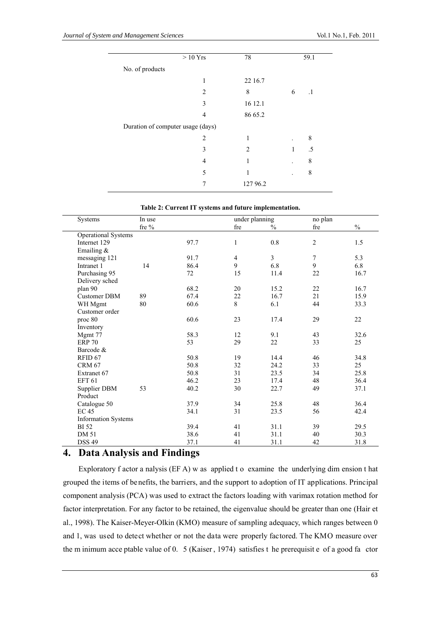|                                   | $>10 \mathrm{\;Yrs}$ |          |   | 59.1      |
|-----------------------------------|----------------------|----------|---|-----------|
| No. of products                   |                      |          |   |           |
|                                   | 1                    | 22 16.7  |   |           |
|                                   | 2                    | 8        | 6 | $\cdot$ 1 |
|                                   | 3                    | 16 12.1  |   |           |
|                                   | 4                    | 86 65.2  |   |           |
| Duration of computer usage (days) |                      |          |   |           |
|                                   | 2                    | 1        |   | 8         |
|                                   | 3                    | 2        | 1 | .5        |
|                                   | 4                    | 1        |   | 8         |
|                                   | 5                    | 1        |   | 8         |
|                                   |                      | 127 96.2 |   |           |

|  |  | Table 2: Current IT systems and future implementation. |
|--|--|--------------------------------------------------------|
|--|--|--------------------------------------------------------|

| Systems                    | In use   | under planning |        |                | no plan        |      |
|----------------------------|----------|----------------|--------|----------------|----------------|------|
|                            | fre $\%$ |                | fre    | $\frac{0}{0}$  | fre            | $\%$ |
| <b>Operational Systems</b> |          |                |        |                |                |      |
| Internet 129               |          | 97.7           | 1      | $0.8\,$        | $\overline{c}$ | 1.5  |
| Emailing $&$               |          |                |        |                |                |      |
| messaging 121              |          | 91.7           | 4      | $\overline{3}$ | $\overline{7}$ | 5.3  |
| Intranet 1                 | 14       | 86.4           | 9      | 6.8            | 9              | 6.8  |
| Purchasing 95              |          | 72             | 15     | 11.4           | 22             | 16.7 |
| Delivery sched             |          |                |        |                |                |      |
| plan 90                    |          | 68.2           | 20     | 15.2           | 22             | 16.7 |
| <b>Customer DBM</b>        | 89       | 67.4           | $22\,$ | 16.7           | 21             | 15.9 |
| WH Mgmt                    | 80       | 60.6           | 8      | 6.1            | 44             | 33.3 |
| Customer order             |          |                |        |                |                |      |
| proc 80                    |          | 60.6           | 23     | 17.4           | 29             | 22   |
| Inventory                  |          |                |        |                |                |      |
| Mgmt 77                    |          | 58.3           | 12     | 9.1            | 43             | 32.6 |
| <b>ERP 70</b>              |          | 53             | 29     | $22\,$         | 33             | 25   |
| Barcode &                  |          |                |        |                |                |      |
| RFID <sub>67</sub>         |          | 50.8           | 19     | 14.4           | 46             | 34.8 |
| <b>CRM 67</b>              |          | 50.8           | 32     | 24.2           | 33             | 25   |
| Extranet 67                |          | 50.8           | 31     | 23.5           | 34             | 25.8 |
| <b>EFT 61</b>              |          | 46.2           | 23     | 17.4           | 48             | 36.4 |
| Supplier DBM               | 53       | 40.2           | 30     | 22.7           | 49             | 37.1 |
| Product                    |          |                |        |                |                |      |
| Catalogue 50               |          | 37.9           | 34     | 25.8           | 48             | 36.4 |
| <b>EC 45</b>               |          | 34.1           | 31     | 23.5           | 56             | 42.4 |
| <b>Information Systems</b> |          |                |        |                |                |      |
| <b>BI</b> 52               |          | 39.4           | 41     | 31.1           | 39             | 29.5 |
| <b>DM 51</b>               |          | 38.6           | 41     | 31.1           | 40             | 30.3 |
| <b>DSS 49</b>              |          | 37.1           | 41     | 31.1           | 42             | 31.8 |

# **4. Data Analysis and Findings**

Exploratory f actor a nalysis (EF A) w as applied t o examine the underlying dim ension t hat grouped the items of benefits, the barriers, and the support to adoption of IT applications. Principal component analysis (PCA) was used to extract the factors loading with varimax rotation method for factor interpretation. For any factor to be retained, the eigenvalue should be greater than one (Hair et al., 1998). The Kaiser-Meyer-Olkin (KMO) measure of sampling adequacy, which ranges between 0 and 1, was used to detect whether or not the data were properly factored. The KMO measure over the m inimum acce ptable value of 0. 5 (Kaiser , 1974) satisfies t he prerequisit e of a good fa ctor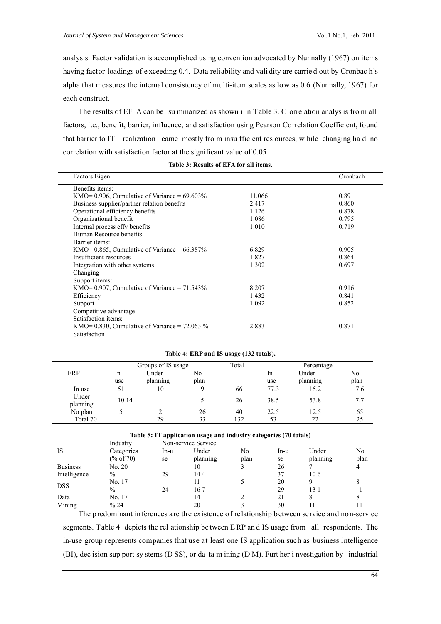analysis. Factor validation is accomplished using convention advocated by Nunnally (1967) on items having factor loadings of e xceeding 0.4. Data reliability and vali dity are carrie d out by Cronbac h's alpha that measures the internal consistency of multi-item scales as low as 0.6 (Nunnally, 1967) for each construct.

The results of EF A can be su mmarized as shown i n Table 3. C orrelation analys is fro m all factors, i.e., benefit, barrier, influence, and satisfaction using Pearson Correlation Coefficient, found that barrier to IT realization came mostly fro m insu fficient res ources, w hile changing ha d no correlation with satisfaction factor at the significant value of 0.05

| Factors Eigen                                      |        | Cronbach |
|----------------------------------------------------|--------|----------|
| Benefits items:                                    |        |          |
| KMO= $0.906$ , Cumulative of Variance = $69.603\%$ | 11.066 | 0.89     |
| Business supplier/partner relation benefits        | 2.417  | 0.860    |
| Operational efficiency benefits                    | 1.126  | 0.878    |
| Organizational benefit                             | 1.086  | 0.795    |
| Internal process effy benefits                     | 1.010  | 0.719    |
| Human Resource benefits                            |        |          |
| Barrier items:                                     |        |          |
| KMO= $0.865$ , Cumulative of Variance = $66.387\%$ | 6.829  | 0.905    |
| Insufficient resources                             | 1.827  | 0.864    |
| Integration with other systems                     | 1.302  | 0.697    |
| Changing                                           |        |          |
| Support items:                                     |        |          |
| KMO= $0.907$ , Cumulative of Variance = $71.543\%$ | 8.207  | 0.916    |
| Efficiency                                         | 1.432  | 0.841    |
| Support                                            | 1.092  | 0.852    |
| Competitive advantage                              |        |          |
| Satisfaction items:                                |        |          |
| KMO= 0.830, Cumulative of Variance = $72.063\%$    | 2.883  | 0.871    |
| Satisfaction                                       |        |          |

|  | Table 4: ERP and IS usage (132 totals). |  |  |
|--|-----------------------------------------|--|--|
|--|-----------------------------------------|--|--|

|                   |       | Groups of IS usage |      | Total |           | Percentage |      |
|-------------------|-------|--------------------|------|-------|-----------|------------|------|
| ERP               | 1n    | Under              | No   |       | <b>In</b> | Under      | No   |
|                   | use   | planning           | plan |       | use       | planning   | plan |
| In use            | 51    | 10                 | Q    | 66    | 77.3      | 15.2       | 7.6  |
| Under<br>planning | 10 14 |                    |      | 26    | 38.5      | 53.8       | 7.7  |
| No plan           |       |                    | 26   | 40    | 22.5      | 12.5       | 65   |
| Total 70          |       | 29                 | 33   | 132   | 53        | 22         | 25   |

| Table 5: IT application usage and industry categories (70 totals) |               |      |                     |      |      |          |      |
|-------------------------------------------------------------------|---------------|------|---------------------|------|------|----------|------|
|                                                                   | Industry      |      | Non-service Service |      |      |          |      |
| IS                                                                | Categories    | In-u | Under               | No   | In-u | Under    | No   |
|                                                                   | (% of 70)     | se   | planning            | plan | se   | planning | plan |
| <b>Business</b>                                                   | No. 20        |      | 10                  |      | 26   |          |      |
| Intelligence                                                      | $\frac{0}{0}$ | 29   | 144                 |      | 37   | 106      |      |
|                                                                   | No. 17        |      |                     |      | 20   |          |      |
| <b>DSS</b>                                                        | $\frac{0}{0}$ | 24   | 167                 |      | 29   | 13 1     |      |
| Data                                                              | No. 17        |      | 14                  |      | 21   | 8        | Ω    |
| Mining                                                            | % 24          |      | 20                  |      | 30   |          |      |

The predominant inferences are the existence of relationship between service and non-service segments. Table 4 depicts the rel ationship be tween E RP an d IS usage from all respondents. The in-use group represents companies that use at least one IS application such as business intelligence (BI), dec ision sup port sy stems (D SS), or da ta m ining (D M). Furt her i nvestigation by industrial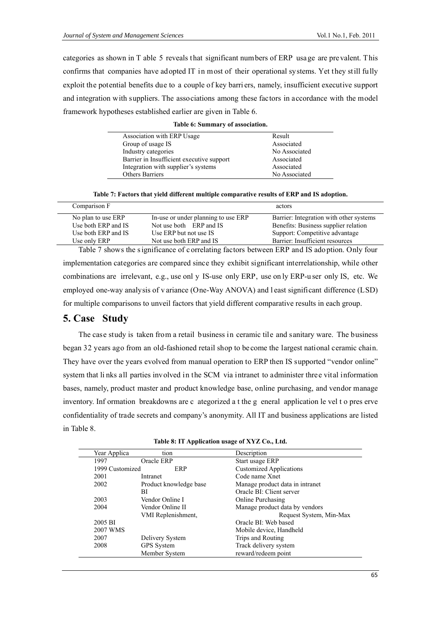categories as shown in T able 5 reveals that significant numbers of ERP usage are prevalent. This confirms that companies have adopted IT in most of their operational systems. Yet they still fully exploit the potential benefits due to a couple of key barri ers, namely, insufficient executive support and integration with suppliers. The associations among these factors in accordance with the model framework hypotheses established earlier are given in Table 6.

| Association with ERP Usage                | Result        |
|-------------------------------------------|---------------|
| Group of usage IS                         | Associated    |
| Industry categories                       | No Associated |
| Barrier in Insufficient executive support | Associated    |
| Integration with supplier's systems       | Associated    |
| <b>Others Barriers</b>                    | No Associated |

|  |  | Table 7: Factors that yield different multiple comparative results of ERP and IS adoption. |  |  |  |  |
|--|--|--------------------------------------------------------------------------------------------|--|--|--|--|
|  |  |                                                                                            |  |  |  |  |

| Comparison F        |                                     | actors                                  |
|---------------------|-------------------------------------|-----------------------------------------|
| No plan to use ERP  | In-use or under planning to use ERP | Barrier: Integration with other systems |
| Use both ERP and IS | Not use both ERP and IS             | Benefits: Business supplier relation    |
| Use both ERP and IS | Use ERP but not use IS              | Support: Competitive advantage          |
| Use only ERP        | Not use both ERP and IS             | Barrier: Insufficient resources         |

Table 7 shows the s ignificance of c orrelating factors between ERP and IS ado ption. Only four implementation categories are compared since they exhibit significant interrelationship, while other combinations are irrelevant, e.g., use onl y IS-use only ERP, use on ly ERP-u ser only IS, etc. We employed one-way analysis of v ariance (One-Way ANOVA) and l east significant difference (LSD) for multiple comparisons to unveil factors that yield different comparative results in each group.

# **5. Case Study**

The case study is taken from a retail business in ceramic tile and sanitary ware. The business began 32 years ago from an old-fashioned retail shop to become the largest national ceramic chain. They have over the years evolved from manual operation to ERP then IS supported "vendor online" system that li nks all parties involved in the SCM via intranet to administer three vital information bases, namely, product master and product knowledge base, online purchasing, and vendor manage inventory. Inf ormation breakdowns are c ategorized a t the g eneral application le vel t o pres erve confidentiality of trade secrets and company's anonymity. All IT and business applications are listed in Table 8.

|  |  | Table 8: IT Application usage of XYZ Co., Ltd. |  |  |  |
|--|--|------------------------------------------------|--|--|--|
|--|--|------------------------------------------------|--|--|--|

| Year Applica            | tion                   | Description                     |  |  |
|-------------------------|------------------------|---------------------------------|--|--|
| 1997                    | Oracle ERP             | Start usage ERP                 |  |  |
| 1999 Customized         | ERP                    | <b>Customized Applications</b>  |  |  |
| 2001                    | Intranet               | Code name Xnet                  |  |  |
| 2002                    | Product knowledge base | Manage product data in intranet |  |  |
|                         | ВI                     | Oracle BI: Client server        |  |  |
| 2003                    | Vendor Online I        | Online Purchasing               |  |  |
| 2004                    | Vendor Online II       | Manage product data by vendors  |  |  |
|                         | VMI Replenishment,     | Request System, Min-Max         |  |  |
| 2005 BI                 |                        | Oracle BI: Web based            |  |  |
| 2007 WMS                |                        | Mobile device, Handheld         |  |  |
| 2007<br>Delivery System |                        | Trips and Routing               |  |  |
| 2008                    | <b>GPS</b> System      | Track delivery system           |  |  |
|                         | Member System          | reward/redeem point             |  |  |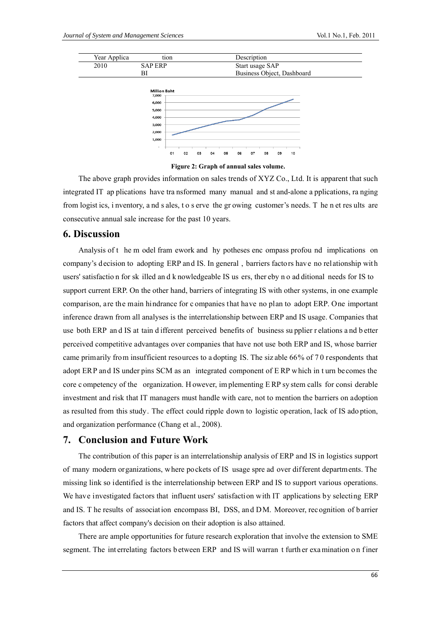

Figure 2: Graph of annual sales volume.

The above graph provides information on sales trends of XYZ Co., Ltd. It is apparent that such integrated IT applications have transformed many manual and st and-alone applications, ranging from logist ics, i nventory, and s ales, to s erve the growing customer's needs. T he n et results are consecutive annual sale increase for the past 10 years.

### **6. Discussion**

Analysis of the m odel fram ework and hy potheses encompass profound implications on company's decision to adopting ERP and IS. In general, barriers factors have no relationship with users' satisfaction for sk illed and knowledgeable IS us ers, thereby no additional needs for IS to support current ERP. On the other hand, barriers of integrating IS with other systems, in one example comparison, are the main hindrance for c ompanies that have no plan to adopt ERP. One important inference drawn from all analyses is the interrelationship between ERP and IS usage. Companies that use both ERP and IS at tain different perceived benefits of business supplier relations and better perceived competitive advantages over companies that have not use both ERP and IS, whose barrier came primarily from insufficient resources to a dopting IS. The sizable 66% of 70 respondents that adopt ERP and IS under pins SCM as an integrated component of ERP which in turn becomes the core competency of the organization. However, implementing ERP system calls for considerable investment and risk that IT managers must handle with care, not to mention the barriers on adoption as resulted from this study. The effect could ripple down to logistic operation, lack of IS adoption, and organization performance (Chang et al., 2008).

### 7. Conclusion and Future Work

The contribution of this paper is an interrelationship analysis of ERP and IS in logistics support of many modern organizations, where pockets of IS usage spre ad over different departments. The missing link so identified is the interrelationship between ERP and IS to support various operations. We have investigated factors that influent users' satisfaction with IT applications by selecting ERP and IS. T he results of association encompass BI, DSS, and DM. Moreover, recognition of barrier factors that affect company's decision on their adoption is also attained.

There are ample opportunities for future research exploration that involve the extension to SME segment. The interrelating factors between ERP and IS will warran t further examination on finer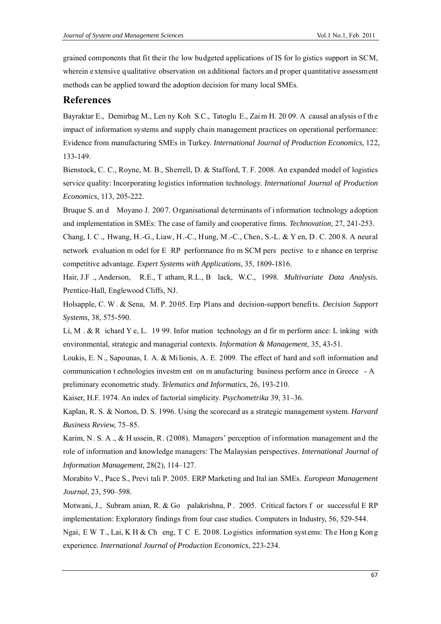grained components that fit their the low budgeted applications of IS for logistics support in SCM, wherein extensive qualitative observation on additional factors and proper quantitative assessment methods can be applied toward the adoption decision for many local SMEs.

## **References**

Bayraktar E., Demirbag M., Len ny Koh S.C., Tatoglu E., Zai m H. 2009. A causal analysis of the impact of information systems and supply chain management practices on operational performance: Evidence from manufacturing SMEs in Turkey. International Journal of Production Economics, 122, 133-149.

Bienstock, C. C., Royne, M. B., Sherrell, D. & Stafford, T. F. 2008. An expanded model of logistics service quality: Incorporating logistics information technology. International Journal of Production *Economics*, 113, 205-222.

Bruque S. and Moyano J. 2007. Organisational determinants of information technology adoption and implementation in SMEs: The case of family and cooperative firms. *Technovation*, 27, 241-253.

Chang, I. C., Hwang, H.-G., Liaw, H.-C., Hung, M.-C., Chen, S.-L. & Y en, D. C. 200 8. A neural network evaluation m odel for E RP performance from SCM pers pective to e nhance en terprise competitive advantage. Expert Systems with Applications, 35, 1809-1816.

Hair, J.F., Anderson, R.E., T atham, R.L., B lack, W.C., 1998. Multivariate Data Analysis. Prentice-Hall, Englewood Cliffs, NJ.

Holsapple, C. W. & Sena, M. P. 2005. Erp Plans and decision-support benefits. Decision Support Systems, 38, 575-590.

Li, M. & R ichard Y e, L. 1999. Infor mation technology and firm perform ance: L inking with environmental, strategic and managerial contexts. Information & Management, 35, 43-51.

Loukis, E. N., Sapounas, I. A. & Milionis, A. E. 2009. The effect of hard and soft information and communication t echnologies investment on m anufacturing business perform ance in Greece - A preliminary econometric study. Telematics and Informatics, 26, 193-210.

Kaiser, H.F. 1974. An index of factorial simplicity. Psychometrika 39, 31-36.

Kaplan, R. S. & Norton, D. S. 1996. Using the scorecard as a strategic management system. *Harvard* Business Review, 75-85.

Karim, N. S. A., & H ussein, R. (2008). Managers' perception of information management and the role of information and knowledge managers: The Malaysian perspectives. International Journal of Information Management, 28(2), 114-127.

Morabito V., Pace S., Previ tali P. 2005. ERP Marketing and Ital ian SMEs. European Management Journal, 23, 590-598.

Motwani, J., Subram anian, R. & Go palakrishna, P. 2005. Critical factors f or successful E RP implementation: Exploratory findings from four case studies. Computers in Industry, 56, 529-544.

Ngai, E W T., Lai, K H & Ch eng, T C E, 2008. Logistics information systems: The Hong Kong experience. International Journal of Production Economics, 223-234.